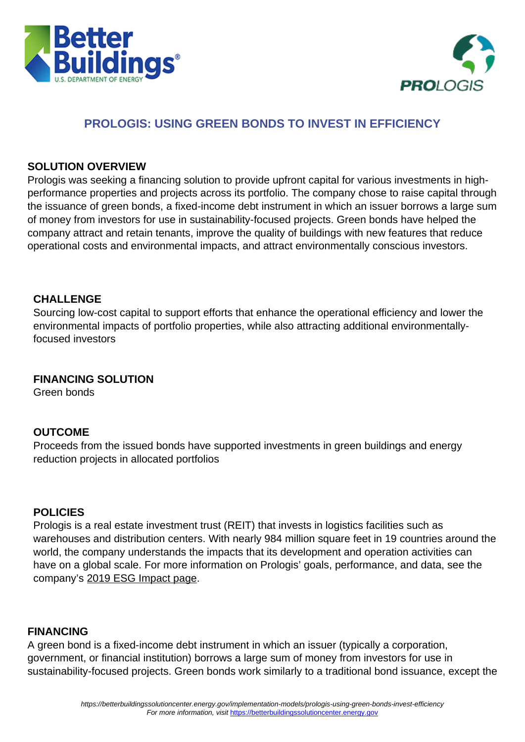



## **PROLOGIS: USING GREEN BONDS TO INVEST IN EFFICIENCY**

#### **SOLUTION OVERVIEW**

Prologis was seeking a financing solution to provide upfront capital for various investments in highperformance properties and projects across its portfolio. The company chose to raise capital through the issuance of green bonds, a fixed-income debt instrument in which an issuer borrows a large sum of money from investors for use in sustainability-focused projects. Green bonds have helped the company attract and retain tenants, improve the quality of buildings with new features that reduce operational costs and environmental impacts, and attract environmentally conscious investors.

#### **CHALLENGE**

Sourcing low-cost capital to support efforts that enhance the operational efficiency and lower the environmental impacts of portfolio properties, while also attracting additional environmentallyfocused investors

### **FINANCING SOLUTION**

Green bonds

### **OUTCOME**

Proceeds from the issued bonds have supported investments in green buildings and energy reduction projects in allocated portfolios

### **POLICIES**

Prologis is a real estate investment trust (REIT) that invests in logistics facilities such as warehouses and distribution centers. With nearly 984 million square feet in 19 countries around the world, the company understands the impacts that its development and operation activities can have on a global scale. For more information on Prologis' goals, performance, and data, see the company's [2019 ESG Impact page](https://www.prologis.com/esg-report/2019/goals).

#### **FINANCING**

A green bond is a fixed-income debt instrument in which an issuer (typically a corporation, government, or financial institution) borrows a large sum of money from investors for use in sustainability-focused projects. Green bonds work similarly to a traditional bond issuance, except the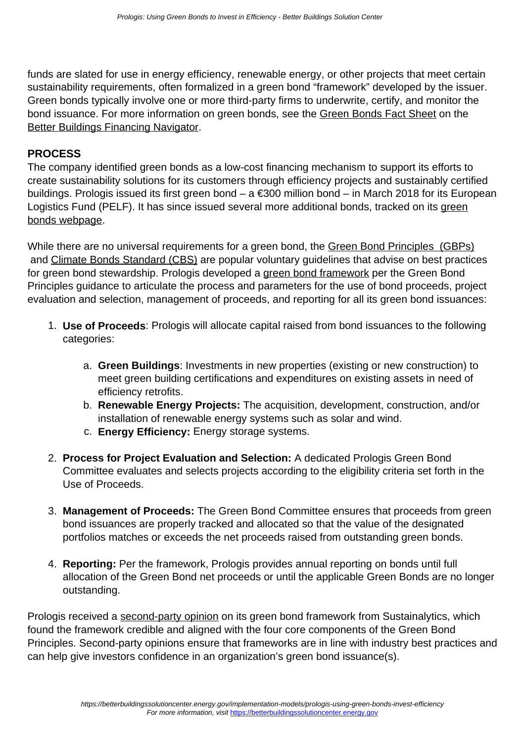funds are slated for use in energy efficiency, renewable energy, or other projects that meet certain sustainability requirements, often formalized in a green bond "framework" developed by the issuer. Green bonds typically involve one or more third-party firms to underwrite, certify, and monitor the bond issuance. For more information on green bonds, see the [Green Bonds Fact Sheet](https://betterbuildingssolutioncenter.energy.gov/financing-navigator/option/green-bonds) on the **[Better Buildings Financing Navigator](https://betterbuildingssolutioncenter.energy.gov/financing-navigator).** 

### **PROCESS**

The company identified green bonds as a low-cost financing mechanism to support its efforts to create sustainability solutions for its customers through efficiency projects and sustainably certified buildings. Prologis issued its first green bond – a €300 million bond – in March 2018 for its European Logistics Fund (PELF). It has since issued several more additional bonds, tracked on its [green](https://www.prologis.com/about/sustainable-industrial-real-estate/green-bonds) [bonds webpage.](https://www.prologis.com/about/sustainable-industrial-real-estate/green-bonds)

While there are no universal requirements for a green bond, the [Green Bond Principles \(GBPs\)](https://www.icmagroup.org/green-social-and-sustainability-bonds/green-bond-principles-gbp/) and [Climate Bonds Standard \(CBS\)](https://www.climatebonds.net/files/files/Climate%20Bonds%20Standard%20v2_1%20-%20January_2017.pdf) are popular voluntary guidelines that advise on best practices for green bond stewardship. Prologis developed a [green bond framework](https://www.prologis.com/sites/corporate/files/documents/2020/12/august-2020-green-bond-framework.pdf) per the Green Bond Principles guidance to articulate the process and parameters for the use of bond proceeds, project evaluation and selection, management of proceeds, and reporting for all its green bond issuances:

- 1. **Use of Proceeds**: Prologis will allocate capital raised from bond issuances to the following categories:
	- a. **Green Buildings**: Investments in new properties (existing or new construction) to meet green building certifications and expenditures on existing assets in need of efficiency retrofits.
	- b. **Renewable Energy Projects:** The acquisition, development, construction, and/or installation of renewable energy systems such as solar and wind.
	- c. **Energy Efficiency:** Energy storage systems.
- 2. **Process for Project Evaluation and Selection:** A dedicated Prologis Green Bond Committee evaluates and selects projects according to the eligibility criteria set forth in the Use of Proceeds.
- 3. **Management of Proceeds:** The Green Bond Committee ensures that proceeds from green bond issuances are properly tracked and allocated so that the value of the designated portfolios matches or exceeds the net proceeds raised from outstanding green bonds.
- 4. **Reporting:** Per the framework, Prologis provides annual reporting on bonds until full allocation of the Green Bond net proceeds or until the applicable Green Bonds are no longer outstanding.

Prologis received a [second-party opinion](https://www.prologis.com/sites/corporate/files/documents/2020/08/august-2020-prologis-green-bond-framework-and-sustainalytics-opinion.pdf) on its green bond framework from Sustainalytics, which found the framework credible and aligned with the four core components of the Green Bond Principles. Second-party opinions ensure that frameworks are in line with industry best practices and can help give investors confidence in an organization's green bond issuance(s).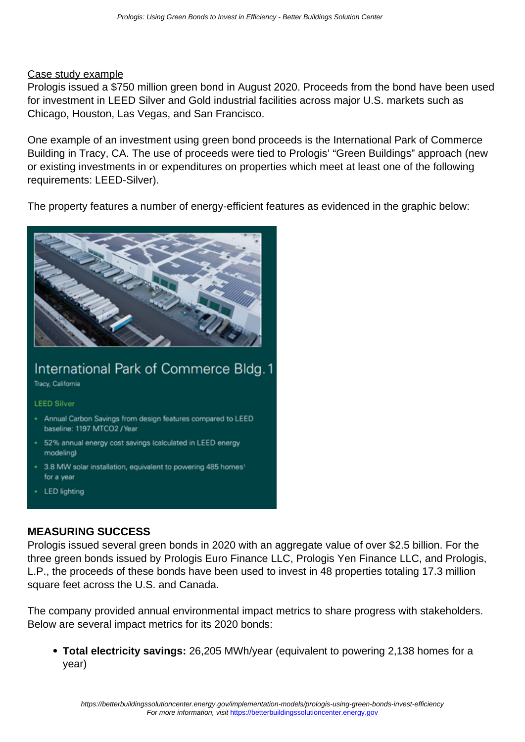#### Case study example

Prologis issued a \$750 million green bond in August 2020. Proceeds from the bond have been used for investment in LEED Silver and Gold industrial facilities across major U.S. markets such as Chicago, Houston, Las Vegas, and San Francisco.

One example of an investment using green bond proceeds is the International Park of Commerce Building in Tracy, CA. The use of proceeds were tied to Prologis' "Green Buildings" approach (new or existing investments in or expenditures on properties which meet at least one of the following requirements: LEED-Silver).

The property features a number of energy-efficient features as evidenced in the graphic below:



# International Park of Commerce Bldg.1

**Tracy, California** 

#### **LEED Silver**

- Annual Carbon Savings from design features compared to LEED baseline: 1197 MTCO2 / Year
- 52% annual energy cost savings (calculated in LEED energy modeling)
- 3.8 MW solar installation, equivalent to powering 485 homes<sup>1</sup> for a year
- **LED** lighting

#### **MEASURING SUCCESS**

Prologis issued several green bonds in 2020 with an aggregate value of over \$2.5 billion. For the three green bonds issued by Prologis Euro Finance LLC, Prologis Yen Finance LLC, and Prologis, L.P., the proceeds of these bonds have been used to invest in 48 properties totaling 17.3 million square feet across the U.S. and Canada.

The company provided annual environmental impact metrics to share progress with stakeholders. Below are several impact metrics for its 2020 bonds:

**Total electricity savings:** 26,205 MWh/year (equivalent to powering 2,138 homes for a year)